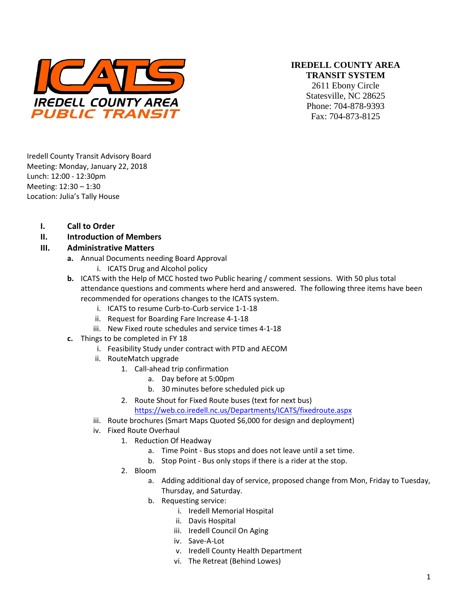

#### **IREDELL COUNTY AREA TRANSIT SYSTEM**

2611 Ebony Circle Statesville, NC 28625 Phone: 704-878-9393 Fax: 704-873-8125

Iredell County Transit Advisory Board Meeting: Monday, January 22, 2018 Lunch: 12:00 - 12:30pm Meeting: 12:30 – 1:30 Location: Julia's Tally House

- **I. Call to Order**
- **II. Introduction of Members**

#### **III. Administrative Matters**

- **a.** Annual Documents needing Board Approval
	- i. ICATS Drug and Alcohol policy
- **b.** ICATS with the Help of MCC hosted two Public hearing / comment sessions. With 50 plus total attendance questions and comments where herd and answered. The following three items have been recommended for operations changes to the ICATS system.
	- i. ICATS to resume Curb-to-Curb service 1-1-18
	- ii. Request for Boarding Fare Increase 4-1-18
	- iii. New Fixed route schedules and service times 4-1-18
- **c.** Things to be completed in FY 18
	- i. Feasibility Study under contract with PTD and AECOM
	- ii. RouteMatch upgrade
		- 1. Call-ahead trip confirmation
			- a. Day before at 5:00pm
			- b. 30 minutes before scheduled pick up
		- 2. Route Shout for Fixed Route buses (text for next bus)

<https://web.co.iredell.nc.us/Departments/ICATS/fixedroute.aspx>

- iii. Route brochures (Smart Maps Quoted \$6,000 for design and deployment)
- iv. Fixed Route Overhaul
	- 1. Reduction Of Headway
		- a. Time Point Bus stops and does not leave until a set time.
		- b. Stop Point Bus only stops if there is a rider at the stop.
	- 2. Bloom
		- a. Adding additional day of service, proposed change from Mon, Friday to Tuesday, Thursday, and Saturday.
		- b. Requesting service:
			- i. Iredell Memorial Hospital
			- ii. Davis Hospital
			- iii. Iredell Council On Aging
			- iv. Save-A-Lot
			- v. Iredell County Health Department
			- vi. The Retreat (Behind Lowes)